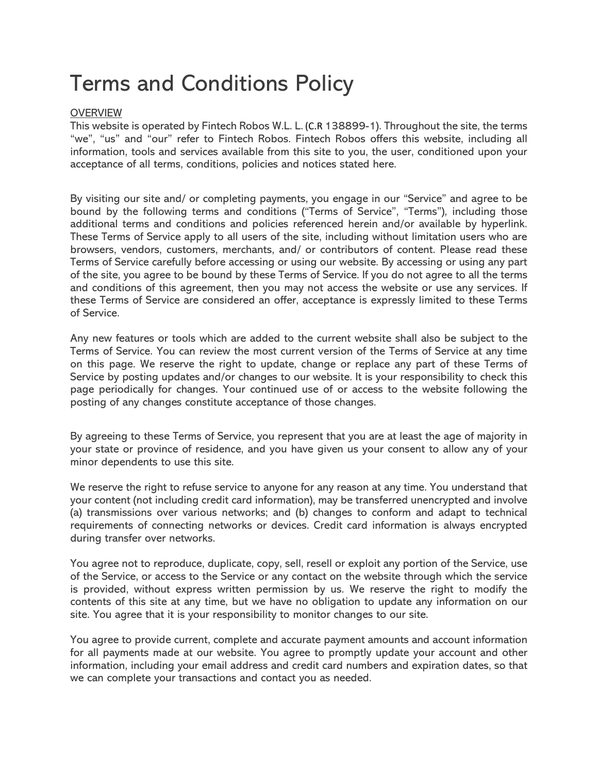# Terms and Conditions Policy

## **OVERVIEW**

This website is operated by Fintech Robos W.L. L. (C.R 138899-1). Throughout the site, the terms "we", "us" and "our" refer to Fintech Robos. Fintech Robos offers this website, including all information, tools and services available from this site to you, the user, conditioned upon your acceptance of all terms, conditions, policies and notices stated here.

By visiting our site and/ or completing payments, you engage in our "Service" and agree to be bound by the following terms and conditions ("Terms of Service", "Terms"), including those additional terms and conditions and policies referenced herein and/or available by hyperlink. These Terms of Service apply to all users of the site, including without limitation users who are browsers, vendors, customers, merchants, and/ or contributors of content. Please read these Terms of Service carefully before accessing or using our website. By accessing or using any part of the site, you agree to be bound by these Terms of Service. If you do not agree to all the terms and conditions of this agreement, then you may not access the website or use any services. If these Terms of Service are considered an offer, acceptance is expressly limited to these Terms of Service.

Any new features or tools which are added to the current website shall also be subject to the Terms of Service. You can review the most current version of the Terms of Service at any time on this page. We reserve the right to update, change or replace any part of these Terms of Service by posting updates and/or changes to our website. It is your responsibility to check this page periodically for changes. Your continued use of or access to the website following the posting of any changes constitute acceptance of those changes.

By agreeing to these Terms of Service, you represent that you are at least the age of majority in your state or province of residence, and you have given us your consent to allow any of your minor dependents to use this site.

We reserve the right to refuse service to anyone for any reason at any time. You understand that your content (not including credit card information), may be transferred unencrypted and involve (a) transmissions over various networks; and (b) changes to conform and adapt to technical requirements of connecting networks or devices. Credit card information is always encrypted during transfer over networks.

You agree not to reproduce, duplicate, copy, sell, resell or exploit any portion of the Service, use of the Service, or access to the Service or any contact on the website through which the service is provided, without express written permission by us. We reserve the right to modify the contents of this site at any time, but we have no obligation to update any information on our site. You agree that it is your responsibility to monitor changes to our site.

You agree to provide current, complete and accurate payment amounts and account information for all payments made at our website. You agree to promptly update your account and other information, including your email address and credit card numbers and expiration dates, so that we can complete your transactions and contact you as needed.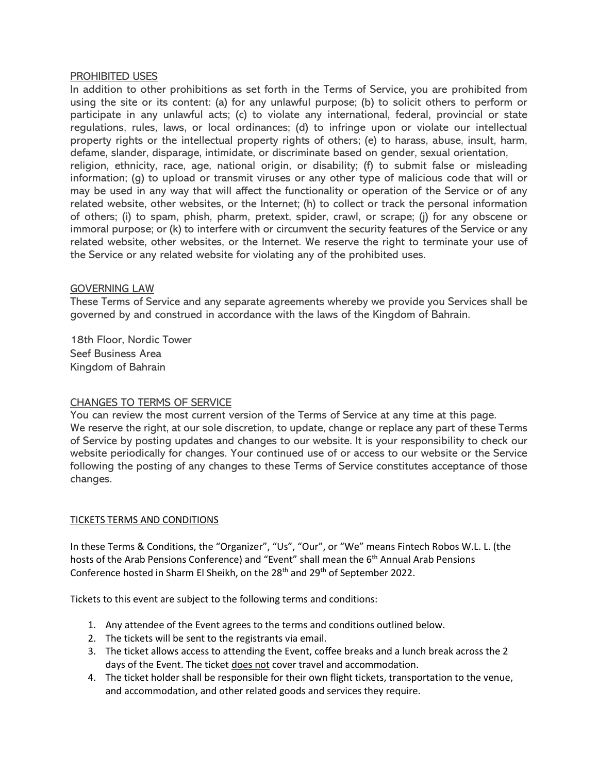#### PROHIBITED USES

In addition to other prohibitions as set forth in the Terms of Service, you are prohibited from using the site or its content: (a) for any unlawful purpose; (b) to solicit others to perform or participate in any unlawful acts; (c) to violate any international, federal, provincial or state regulations, rules, laws, or local ordinances; (d) to infringe upon or violate our intellectual property rights or the intellectual property rights of others; (e) to harass, abuse, insult, harm, defame, slander, disparage, intimidate, or discriminate based on gender, sexual orientation, religion, ethnicity, race, age, national origin, or disability; (f) to submit false or misleading information; (g) to upload or transmit viruses or any other type of malicious code that will or may be used in any way that will affect the functionality or operation of the Service or of any related website, other websites, or the Internet; (h) to collect or track the personal information of others; (i) to spam, phish, pharm, pretext, spider, crawl, or scrape; (j) for any obscene or immoral purpose; or (k) to interfere with or circumvent the security features of the Service or any related website, other websites, or the Internet. We reserve the right to terminate your use of the Service or any related website for violating any of the prohibited uses.

### GOVERNING LAW

These Terms of Service and any separate agreements whereby we provide you Services shall be governed by and construed in accordance with the laws of the Kingdom of Bahrain.

18th Floor, Nordic Tower Seef Business Area Kingdom of Bahrain

### CHANGES TO TERMS OF SERVICE

You can review the most current version of the Terms of Service at any time at this page. We reserve the right, at our sole discretion, to update, change or replace any part of these Terms of Service by posting updates and changes to our website. It is your responsibility to check our website periodically for changes. Your continued use of or access to our website or the Service following the posting of any changes to these Terms of Service constitutes acceptance of those changes.

### TICKETS TERMS AND CONDITIONS

In these Terms & Conditions, the "Organizer", "Us", "Our", or "We" means Fintech Robos W.L. L. (the hosts of the Arab Pensions Conference) and "Event" shall mean the 6<sup>th</sup> Annual Arab Pensions Conference hosted in Sharm El Sheikh, on the 28<sup>th</sup> and 29<sup>th</sup> of September 2022.

Tickets to this event are subject to the following terms and conditions:

- 1. Any attendee of the Event agrees to the terms and conditions outlined below.
- 2. The tickets will be sent to the registrants via email.
- 3. The ticket allows access to attending the Event, coffee breaks and a lunch break across the 2 days of the Event. The ticket does not cover travel and accommodation.
- 4. The ticket holder shall be responsible for their own flight tickets, transportation to the venue, and accommodation, and other related goods and services they require.